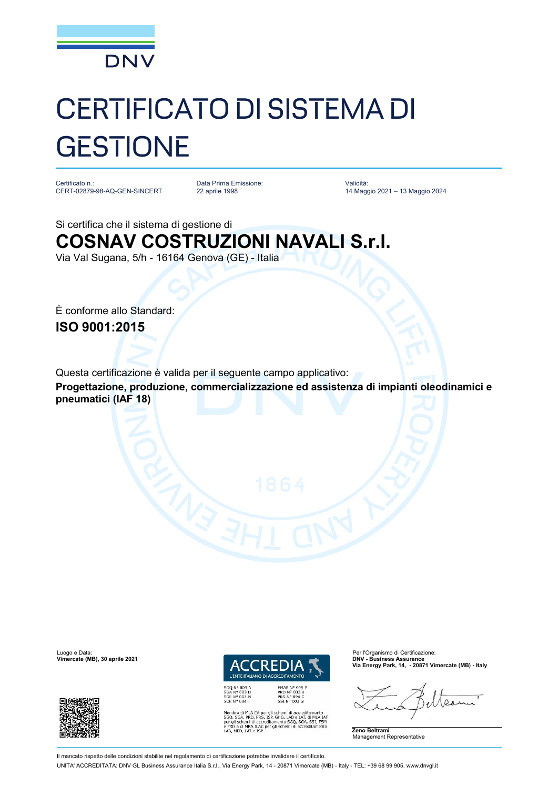

## CERTIFICATO DI SISTEMA DI **GESTIONE**

Certificato n.: CERT-02879-98-AQ-GEN-SINCERT

Data Prima Emissione: 22 aprile 1998

Validità: 14 Maggio 2021 – 13 Maggio 2024

Si certifica che il sistema di gestione di **COSNAV COSTRUZIONI NAVALI S.r.l.**

Via Val Sugana, 5/h - 16164 Genova (GE) - Italia

È conforme allo Standard: **ISO 9001:2015**

Questa certificazione è valida per il seguente campo applicativo: **Progettazione, produzione, commercializzazione ed assistenza di impianti oleodinamici e pneumatici (IAF 18)**

**Vimercate (MB), 30 aprile 2021** 





Membro di MLA EA per gli schemi di accreditamento<br>SGQ, SGA, PRD, PRS, ISP, GHG, LAB e LAT, di MLA IAF<br>per gli schemi di accreditamento SGQ, SGA, SSI, FSM<br>e PRD e di MRA ILAC per gli schemi di accreditamento<br>LAB, MED, LAT e

Luogo e Data: Per l'Organismo di Certificazione<br>
Vimercate (MB), 30 aprile 2021 March 2001 (Certificazione: Per l'Organismo di Certificazione: Per l'Organismo **Via Energy Park, 14, - 20871 Vimercate (MB) - Italy**

 $\Omega$ 

**Zeno Beltrami** Management Representative

Il mancato rispetto delle condizioni stabilite nel regolamento di certificazione potrebbe invalidare il certificato. UNITA' ACCREDITATA: DNV GL Business Assurance Italia S.r.l., Via Energy Park, 14 - 20871 Vimercate (MB) - Italy - TEL: +39 68 99 905. [www.dnvgl.it](http://www.dnvgl.it)